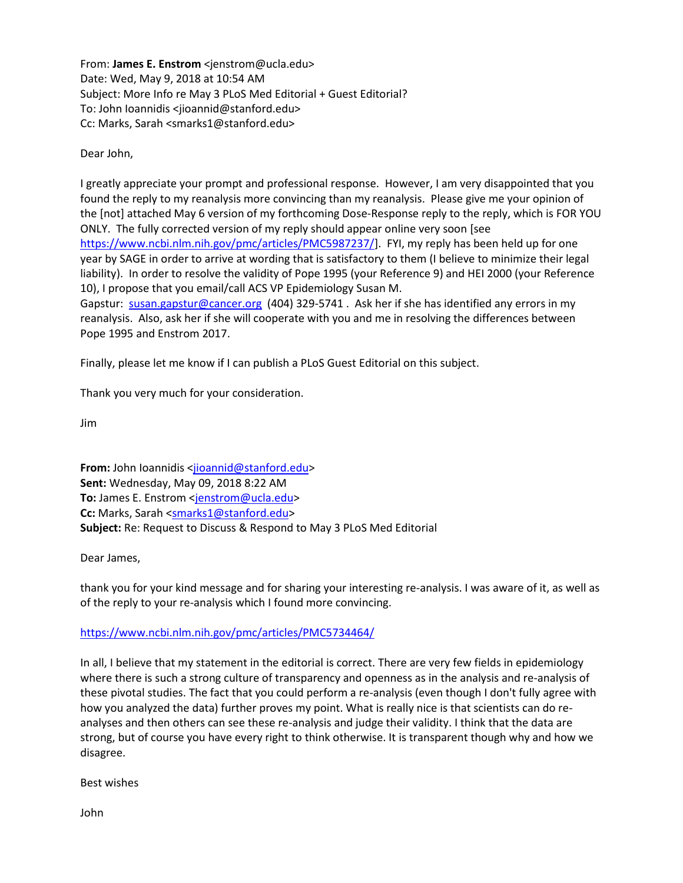From: **James E. Enstrom** <jenstrom@ucla.edu> Date: Wed, May 9, 2018 at 10:54 AM Subject: More Info re May 3 PLoS Med Editorial + Guest Editorial? To: John Ioannidis <jioannid@stanford.edu> Cc: Marks, Sarah <smarks1@stanford.edu>

Dear John,

I greatly appreciate your prompt and professional response. However, I am very disappointed that you found the reply to my reanalysis more convincing than my reanalysis. Please give me your opinion of the [not] attached May 6 version of my forthcoming Dose-Response reply to the reply, which is FOR YOU ONLY. The fully corrected version of my reply should appear online very soon [see [https://www.ncbi.nlm.nih.gov/pmc/articles/PMC5987237/\]](https://www.ncbi.nlm.nih.gov/pmc/articles/PMC5987237/). FYI, my reply has been held up for one year by SAGE in order to arrive at wording that is satisfactory to them (I believe to minimize their legal liability). In order to resolve the validity of Pope 1995 (your Reference 9) and HEI 2000 (your Reference 10), I propose that you email/call ACS VP Epidemiology Susan M.

Gapstur: [susan.gapstur@cancer.org](mailto:susan.gapstur@cancer.org) (404) 329-5741 . Ask her if she has identified any errors in my reanalysis. Also, ask her if she will cooperate with you and me in resolving the differences between Pope 1995 and Enstrom 2017.

Finally, please let me know if I can publish a PLoS Guest Editorial on this subject.

Thank you very much for your consideration.

Jim

**From:** John Ioannidis [<jioannid@stanford.edu>](mailto:jioannid@stanford.edu) **Sent:** Wednesday, May 09, 2018 8:22 AM To: James E. Enstrom [<jenstrom@ucla.edu>](mailto:jenstrom@ucla.edu) **Cc:** Marks, Sarah [<smarks1@stanford.edu>](mailto:smarks1@stanford.edu) **Subject:** Re: Request to Discuss & Respond to May 3 PLoS Med Editorial

Dear James,

thank you for your kind message and for sharing your interesting re-analysis. I was aware of it, as well as of the reply to your re-analysis which I found more convincing.

<https://www.ncbi.nlm.nih.gov/pmc/articles/PMC5734464/>

In all, I believe that my statement in the editorial is correct. There are very few fields in epidemiology where there is such a strong culture of transparency and openness as in the analysis and re-analysis of these pivotal studies. The fact that you could perform a re-analysis (even though I don't fully agree with how you analyzed the data) further proves my point. What is really nice is that scientists can do reanalyses and then others can see these re-analysis and judge their validity. I think that the data are strong, but of course you have every right to think otherwise. It is transparent though why and how we disagree.

Best wishes

John